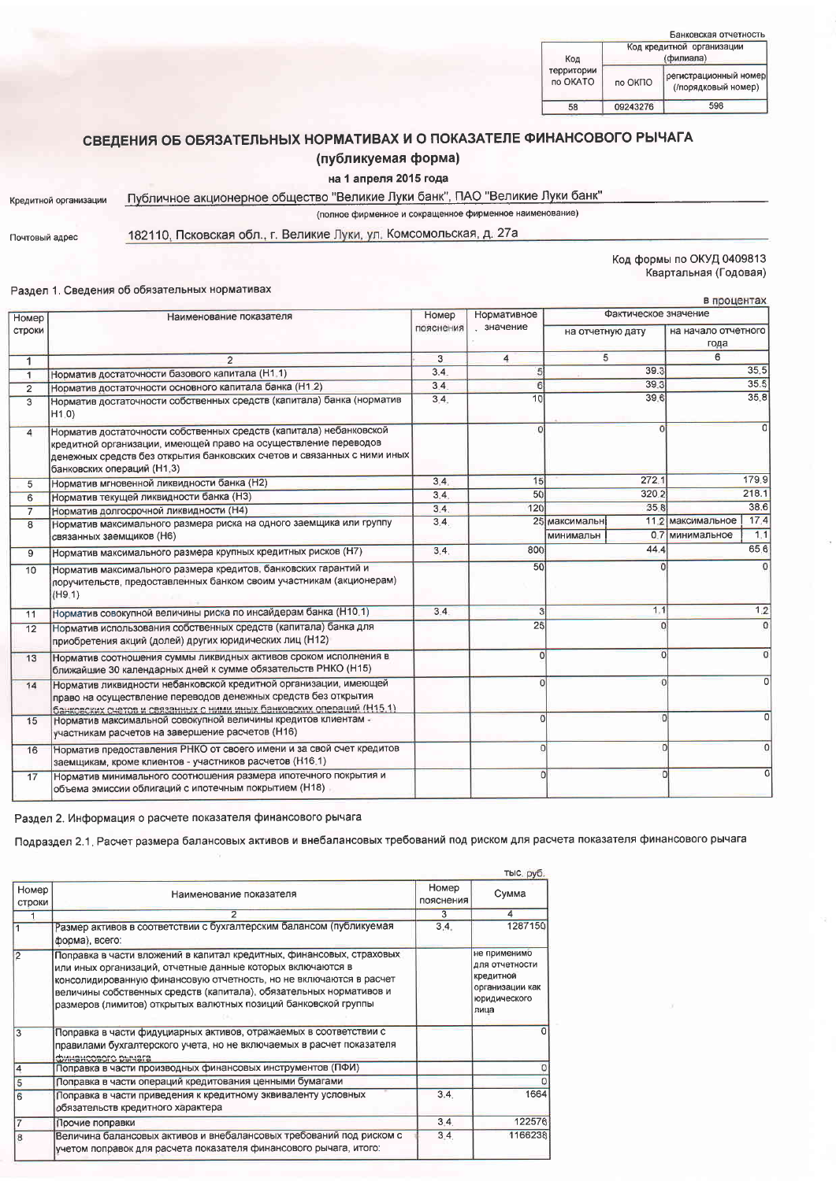| Банковская отчетность  |                                        |                                              |  |  |  |
|------------------------|----------------------------------------|----------------------------------------------|--|--|--|
| Код                    | Код кредитной организации<br>(филиала) |                                              |  |  |  |
| территории<br>по OKATO | по ОКПО                                | регистрационный номер<br>(/порядковый номер) |  |  |  |
| 58                     | 09243276                               | 598                                          |  |  |  |

# СВЕДЕНИЯ ОБ ОБЯЗАТЕЛЬНЫХ НОРМАТИВАХ И О ПОКАЗАТЕЛЕ ФИНАНСОВОГО РЫЧАГА

# (публикуемая форма)

### на 1 апреля 2015 года

# Кредитной организации

Публичное акционерное общество "Великие Луки банк", ПАО "Великие Луки банк" (полное фирменное и сокращенное фирменное наименование)

Почтовый адрес

182110, Псковская обл., г. Великие Луки, ул. Комсомольская, д. 27а

### Код формы по ОКУД 0409813 Квартальная (Годовая)

#### Раздел 1. Сведения об обязательных нормативах

| Номер          | Наименование показателя                                                                                                                                                                                                                        | Номер     | Нормативное    |                  | Фактическое значение |                             |            |
|----------------|------------------------------------------------------------------------------------------------------------------------------------------------------------------------------------------------------------------------------------------------|-----------|----------------|------------------|----------------------|-----------------------------|------------|
| строки         |                                                                                                                                                                                                                                                | пояснения | значение       | на отчетную дату |                      | на начало отчетного<br>года |            |
| 1              | $\overline{c}$                                                                                                                                                                                                                                 | 3         | $\overline{4}$ | 5                |                      | 6                           |            |
| $\mathbf{1}$   | Норматив достаточности базового капитала (H1.1)                                                                                                                                                                                                | 3.4.      | 5              |                  | 39.3                 |                             | 35.5       |
| $\overline{2}$ | Норматив достаточности основного капитала банка (Н1.2)                                                                                                                                                                                         | 3.4.      | 6              |                  | 39.3                 |                             | 35.5       |
| 3              | Норматив достаточности собственных средств (капитала) банка (норматив<br>H1.0                                                                                                                                                                  | 3.4.      | 10             |                  | 39.6                 |                             | 35.8       |
| 4              | Норматив достаточности собственных средств (капитала) небанковской<br>кредитной организации, имеющей право на осуществление переводов<br>денежных средств без открытия банковских счетов и связанных с ними иных<br>банковских операций (Н1,3) |           | $\Omega$       |                  | $\Omega$             |                             | $\Omega$   |
| 5              | Норматив мгновенной ликвидности банка (Н2)                                                                                                                                                                                                     | 3.4.      | 15             |                  | 272.1                |                             | 179.9      |
| 6              | Норматив текущей ликвидности банка (Н3)                                                                                                                                                                                                        | 3.4.      | 50             |                  | 320.2                |                             | 218.1      |
| $\overline{7}$ | Норматив долгосрочной ликвидности (Н4)                                                                                                                                                                                                         | 3.4.      | 120            |                  | 35.8                 |                             | 38.6       |
| 8              | Норматив максимального размера риска на одного заемщика или группу                                                                                                                                                                             | 3.4.      |                | 25 максимальн    | 11.2                 | максимальное                | 17.4       |
|                | связанных заемщиков (Н6)                                                                                                                                                                                                                       |           |                | минимальн        | 0.7                  | <u>  минимальное</u>        | 1,1        |
| 9              | Норматив максимального размера крупных кредитных рисков (H7)                                                                                                                                                                                   | 3.4.      | 800            |                  | 44.4                 |                             | 65.6       |
| 10             | Норматив максимального размера кредитов, банковских гарантий и<br>поручительств, предоставленных банком своим участникам (акционерам)<br>(H9.1)                                                                                                |           | 50             |                  |                      |                             | $^{\circ}$ |
| 11             | Норматив совокупной величины риска по инсайдерам банка (Н10.1)                                                                                                                                                                                 | 3.4.      | 3              |                  | 1.1                  |                             | 1.2        |
| 12             | Норматив использования собственных средств (капитала) банка для<br>приобретения акций (долей) других юридических лиц (Н12)                                                                                                                     |           | 25             |                  | n                    |                             | $\Omega$   |
| 13             | Норматив соотношения суммы ликвидных активов сроком исполнения в<br>ближайшие 30 календарных дней к сумме обязательств РНКО (Н15)                                                                                                              |           | $\Omega$       |                  | $\Omega$             |                             |            |
| 14             | Норматив ликвидности небанковской кредитной организации, имеющей<br>право на осуществление переводов денежных средств без открытия<br>банковских счетов и связанных с ними иных банковских операций (Н15.1)                                    |           |                |                  | $\Omega$             |                             |            |
| 15             | Норматив максимальной совокупной величины кредитов клиентам -<br>участникам расчетов на завершение расчетов (Н16)                                                                                                                              |           | $\epsilon$     |                  | $\Omega$             |                             | Ω          |
| 16             | Норматив предоставления РНКО от своего имени и за свой счет кредитов<br>заемщикам, кроме клиентов - участников расчетов (Н16.1)                                                                                                                |           | $\overline{0}$ |                  | $\Omega$             |                             | $\Omega$   |
| 17             | Норматив минимального соотношения размера ипотечного покрытия и<br>объема эмиссии облигаций с ипотечным покрытием (Н18)                                                                                                                        |           | $\Omega$       |                  |                      | $\Omega$                    | 0          |

Раздел 2. Информация о расчете показателя финансового рычага

Подраздел 2.1. Расчет размера балансовых активов и внебалансовых требований под риском для расчета показателя финансового рычага

|                               |                                                                                                                                                                                                                                                                                                                                                  |                    | тыс. руб.                                                                              |
|-------------------------------|--------------------------------------------------------------------------------------------------------------------------------------------------------------------------------------------------------------------------------------------------------------------------------------------------------------------------------------------------|--------------------|----------------------------------------------------------------------------------------|
| <b>Номер</b><br><b>СТРОКИ</b> | Наименование показателя                                                                                                                                                                                                                                                                                                                          | Номер<br>пояснения | Сумма                                                                                  |
|                               | 2                                                                                                                                                                                                                                                                                                                                                | 3                  | $\overline{4}$                                                                         |
|                               | Размер активов в соответствии с бухгалтерским балансом (публикуемая<br>форма), всего.                                                                                                                                                                                                                                                            | 3.4.               | 1287150                                                                                |
|                               | Поправка в части вложений в капитал кредитных, финансовых, страховых<br>или иных организаций, отчетные данные которых включаются в<br>консолидированную финансовую отчетность, но не включаются в расчет<br>величины собственных средств (капитала), обязательных нормативов и<br>размеров (лимитов) открытых валютных позиций банковской группы |                    | не применимо<br>для отчетности<br>кредитной<br>организации как<br>юридического<br>лица |
| 3                             | Поправка в части фидуциарных активов, отражаемых в соответствии с<br>правилами бухгалтерского учета, но не включаемых в расчет показателя<br>финансового рычага                                                                                                                                                                                  |                    |                                                                                        |
|                               | Поправка в части производных финансовых инструментов (ПФИ)                                                                                                                                                                                                                                                                                       |                    | O                                                                                      |
|                               | Поправка в части операций кредитования ценными бумагами                                                                                                                                                                                                                                                                                          |                    |                                                                                        |
| 6                             | Поправка в части приведения к кредитному эквиваленту условных<br>обязательств кредитного характера                                                                                                                                                                                                                                               | 3.4.               | 1664                                                                                   |
|                               | Прочие поправки                                                                                                                                                                                                                                                                                                                                  | 3.4.               | 122576                                                                                 |
| 8                             | Величина балансовых активов и внебалансовых требований под риском с<br>учетом поправок для расчета показателя финансового рычага, итого:                                                                                                                                                                                                         | 3.4.               | 1166238                                                                                |